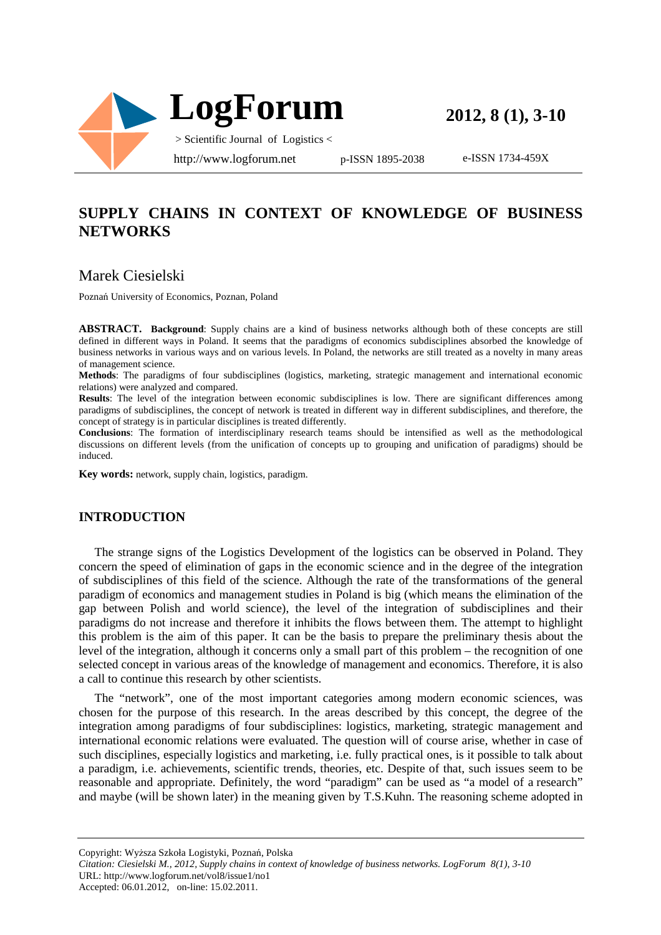

**2012, 8 (1), 3-10**

e-ISSN 1734-459X

# **SUPPLY CHAINS IN CONTEXT OF KNOWLEDGE OF BUSINESS NETWORKS**

### Marek Ciesielski

Poznań University of Economics, Poznan, Poland

**ABSTRACT. Background**: Supply chains are a kind of business networks although both of these concepts are still defined in different ways in Poland. It seems that the paradigms of economics subdisciplines absorbed the knowledge of business networks in various ways and on various levels. In Poland, the networks are still treated as a novelty in many areas of management science.

**Methods**: The paradigms of four subdisciplines (logistics, marketing, strategic management and international economic relations) were analyzed and compared.

**Results**: The level of the integration between economic subdisciplines is low. There are significant differences among paradigms of subdisciplines, the concept of network is treated in different way in different subdisciplines, and therefore, the concept of strategy is in particular disciplines is treated differently.

**Conclusions**: The formation of interdisciplinary research teams should be intensified as well as the methodological discussions on different levels (from the unification of concepts up to grouping and unification of paradigms) should be induced.

**Key words:** network, supply chain, logistics, paradigm.

#### **INTRODUCTION**

The strange signs of the Logistics Development of the logistics can be observed in Poland. They concern the speed of elimination of gaps in the economic science and in the degree of the integration of subdisciplines of this field of the science. Although the rate of the transformations of the general paradigm of economics and management studies in Poland is big (which means the elimination of the gap between Polish and world science), the level of the integration of subdisciplines and their paradigms do not increase and therefore it inhibits the flows between them. The attempt to highlight this problem is the aim of this paper. It can be the basis to prepare the preliminary thesis about the level of the integration, although it concerns only a small part of this problem – the recognition of one selected concept in various areas of the knowledge of management and economics. Therefore, it is also a call to continue this research by other scientists.

The "network", one of the most important categories among modern economic sciences, was chosen for the purpose of this research. In the areas described by this concept, the degree of the integration among paradigms of four subdisciplines: logistics, marketing, strategic management and international economic relations were evaluated. The question will of course arise, whether in case of such disciplines, especially logistics and marketing, i.e. fully practical ones, is it possible to talk about a paradigm, i.e. achievements, scientific trends, theories, etc. Despite of that, such issues seem to be reasonable and appropriate. Definitely, the word "paradigm" can be used as "a model of a research" and maybe (will be shown later) in the meaning given by T.S.Kuhn. The reasoning scheme adopted in

*Citation: Ciesielski M., 2012, Supply chains in context of knowledge of business networks. LogForum 8(1), 3-10*  URL: http://www.logforum.net/vol8/issue1/no1 Accepted: 06.01.2012, on-line: 15.02.2011.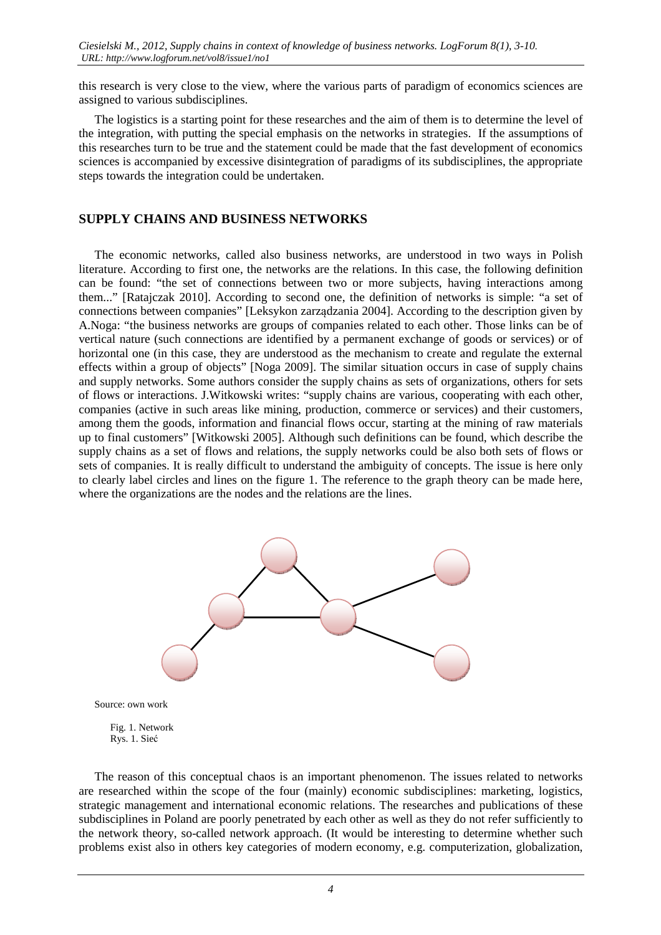this research is very close to the view, where the various parts of paradigm of economics sciences are assigned to various subdisciplines.

The logistics is a starting point for these researches and the aim of them is to determine the level of the integration, with putting the special emphasis on the networks in strategies. If the assumptions of this researches turn to be true and the statement could be made that the fast development of economics sciences is accompanied by excessive disintegration of paradigms of its subdisciplines, the appropriate steps towards the integration could be undertaken.

#### **SUPPLY CHAINS AND BUSINESS NETWORKS**

The economic networks, called also business networks, are understood in two ways in Polish literature. According to first one, the networks are the relations. In this case, the following definition can be found: "the set of connections between two or more subjects, having interactions among them..." [Ratajczak 2010]. According to second one, the definition of networks is simple: "a set of connections between companies" [Leksykon zarządzania 2004]. According to the description given by A.Noga: "the business networks are groups of companies related to each other. Those links can be of vertical nature (such connections are identified by a permanent exchange of goods or services) or of horizontal one (in this case, they are understood as the mechanism to create and regulate the external effects within a group of objects" [Noga 2009]. The similar situation occurs in case of supply chains and supply networks. Some authors consider the supply chains as sets of organizations, others for sets of flows or interactions. J.Witkowski writes: "supply chains are various, cooperating with each other, companies (active in such areas like mining, production, commerce or services) and their customers, among them the goods, information and financial flows occur, starting at the mining of raw materials up to final customers" [Witkowski 2005]. Although such definitions can be found, which describe the supply chains as a set of flows and relations, the supply networks could be also both sets of flows or sets of companies. It is really difficult to understand the ambiguity of concepts. The issue is here only to clearly label circles and lines on the figure 1. The reference to the graph theory can be made here, where the organizations are the nodes and the relations are the lines.



Source: own work

 Fig. 1. Network Rys. 1. Sieć

The reason of this conceptual chaos is an important phenomenon. The issues related to networks are researched within the scope of the four (mainly) economic subdisciplines: marketing, logistics, strategic management and international economic relations. The researches and publications of these subdisciplines in Poland are poorly penetrated by each other as well as they do not refer sufficiently to the network theory, so-called network approach. (It would be interesting to determine whether such problems exist also in others key categories of modern economy, e.g. computerization, globalization,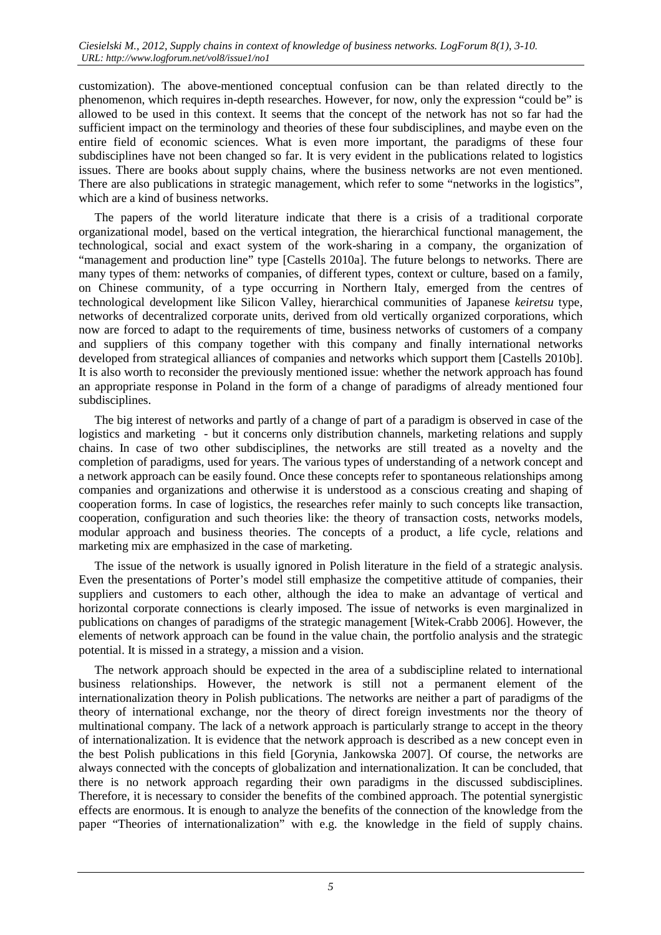customization). The above-mentioned conceptual confusion can be than related directly to the phenomenon, which requires in-depth researches. However, for now, only the expression "could be" is allowed to be used in this context. It seems that the concept of the network has not so far had the sufficient impact on the terminology and theories of these four subdisciplines, and maybe even on the entire field of economic sciences. What is even more important, the paradigms of these four subdisciplines have not been changed so far. It is very evident in the publications related to logistics issues. There are books about supply chains, where the business networks are not even mentioned. There are also publications in strategic management, which refer to some "networks in the logistics", which are a kind of business networks.

The papers of the world literature indicate that there is a crisis of a traditional corporate organizational model, based on the vertical integration, the hierarchical functional management, the technological, social and exact system of the work-sharing in a company, the organization of "management and production line" type [Castells 2010a]. The future belongs to networks. There are many types of them: networks of companies, of different types, context or culture, based on a family, on Chinese community, of a type occurring in Northern Italy, emerged from the centres of technological development like Silicon Valley, hierarchical communities of Japanese *keiretsu* type, networks of decentralized corporate units, derived from old vertically organized corporations, which now are forced to adapt to the requirements of time, business networks of customers of a company and suppliers of this company together with this company and finally international networks developed from strategical alliances of companies and networks which support them [Castells 2010b]. It is also worth to reconsider the previously mentioned issue: whether the network approach has found an appropriate response in Poland in the form of a change of paradigms of already mentioned four subdisciplines.

The big interest of networks and partly of a change of part of a paradigm is observed in case of the logistics and marketing - but it concerns only distribution channels, marketing relations and supply chains. In case of two other subdisciplines, the networks are still treated as a novelty and the completion of paradigms, used for years. The various types of understanding of a network concept and a network approach can be easily found. Once these concepts refer to spontaneous relationships among companies and organizations and otherwise it is understood as a conscious creating and shaping of cooperation forms. In case of logistics, the researches refer mainly to such concepts like transaction, cooperation, configuration and such theories like: the theory of transaction costs, networks models, modular approach and business theories. The concepts of a product, a life cycle, relations and marketing mix are emphasized in the case of marketing.

The issue of the network is usually ignored in Polish literature in the field of a strategic analysis. Even the presentations of Porter's model still emphasize the competitive attitude of companies, their suppliers and customers to each other, although the idea to make an advantage of vertical and horizontal corporate connections is clearly imposed. The issue of networks is even marginalized in publications on changes of paradigms of the strategic management [Witek-Crabb 2006]. However, the elements of network approach can be found in the value chain, the portfolio analysis and the strategic potential. It is missed in a strategy, a mission and a vision.

The network approach should be expected in the area of a subdiscipline related to international business relationships. However, the network is still not a permanent element of the internationalization theory in Polish publications. The networks are neither a part of paradigms of the theory of international exchange, nor the theory of direct foreign investments nor the theory of multinational company. The lack of a network approach is particularly strange to accept in the theory of internationalization. It is evidence that the network approach is described as a new concept even in the best Polish publications in this field [Gorynia, Jankowska 2007]. Of course, the networks are always connected with the concepts of globalization and internationalization. It can be concluded, that there is no network approach regarding their own paradigms in the discussed subdisciplines. Therefore, it is necessary to consider the benefits of the combined approach. The potential synergistic effects are enormous. It is enough to analyze the benefits of the connection of the knowledge from the paper "Theories of internationalization" with e.g. the knowledge in the field of supply chains.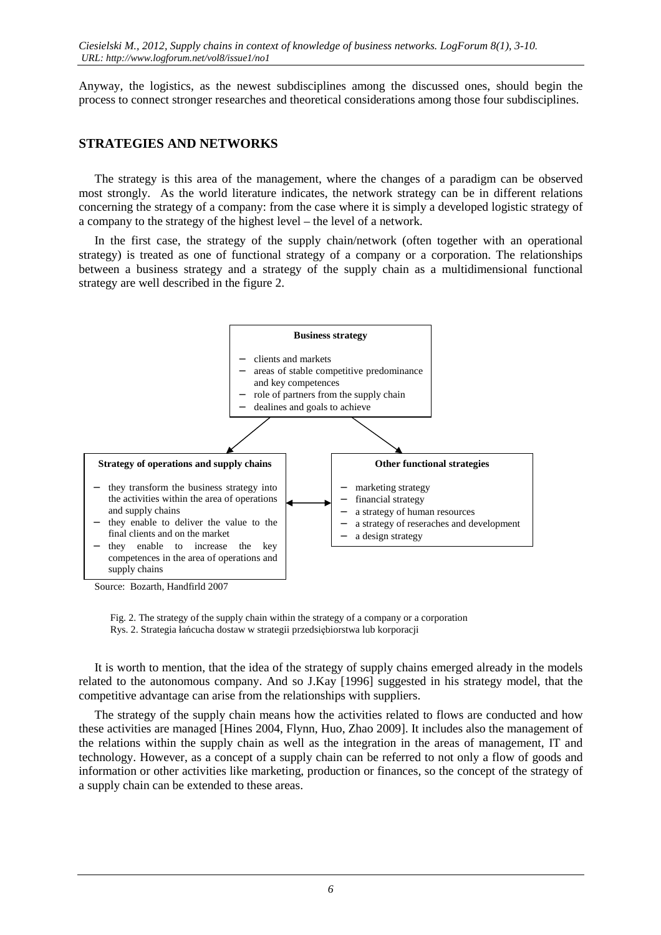Anyway, the logistics, as the newest subdisciplines among the discussed ones, should begin the process to connect stronger researches and theoretical considerations among those four subdisciplines.

#### **STRATEGIES AND NETWORKS**

The strategy is this area of the management, where the changes of a paradigm can be observed most strongly. As the world literature indicates, the network strategy can be in different relations concerning the strategy of a company: from the case where it is simply a developed logistic strategy of a company to the strategy of the highest level – the level of a network.

In the first case, the strategy of the supply chain/network (often together with an operational strategy) is treated as one of functional strategy of a company or a corporation. The relationships between a business strategy and a strategy of the supply chain as a multidimensional functional strategy are well described in the figure 2.



Source: Bozarth, Handfirld 2007

 Fig. 2. The strategy of the supply chain within the strategy of a company or a corporation Rys. 2. Strategia łańcucha dostaw w strategii przedsiębiorstwa lub korporacji

It is worth to mention, that the idea of the strategy of supply chains emerged already in the models related to the autonomous company. And so J.Kay [1996] suggested in his strategy model, that the competitive advantage can arise from the relationships with suppliers.

The strategy of the supply chain means how the activities related to flows are conducted and how these activities are managed [Hines 2004, Flynn, Huo, Zhao 2009]. It includes also the management of the relations within the supply chain as well as the integration in the areas of management, IT and technology. However, as a concept of a supply chain can be referred to not only a flow of goods and information or other activities like marketing, production or finances, so the concept of the strategy of a supply chain can be extended to these areas.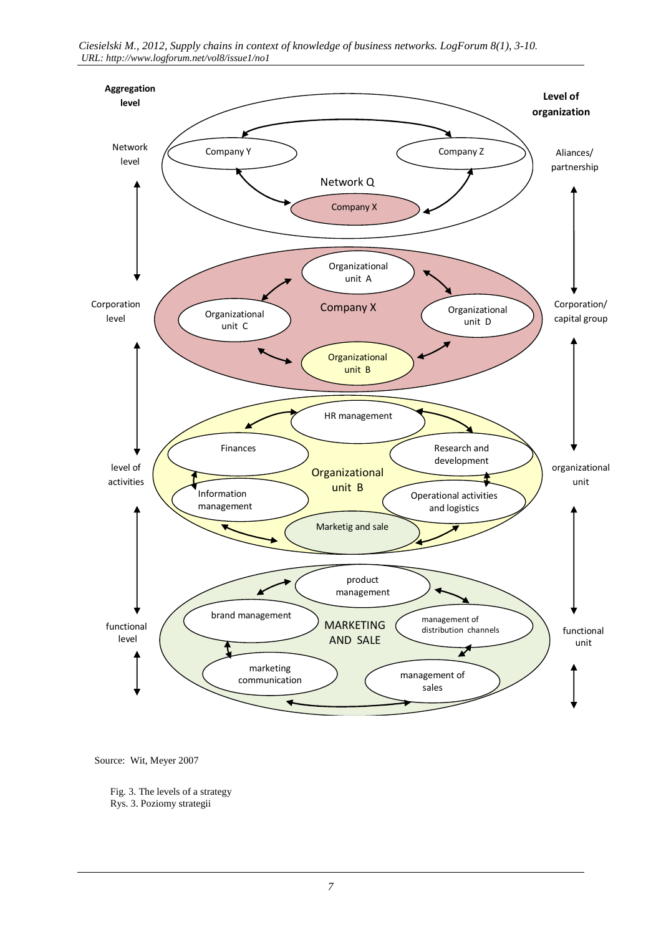*Ciesielski M., 2012, Supply chains in context of knowledge of business networks. LogForum 8(1), 3-10. URL: http://www.logforum.net/vol8/issue1/no1* 



Source: Wit, Meyer 2007

 Fig. 3. The levels of a strategy Rys. 3. Poziomy strategii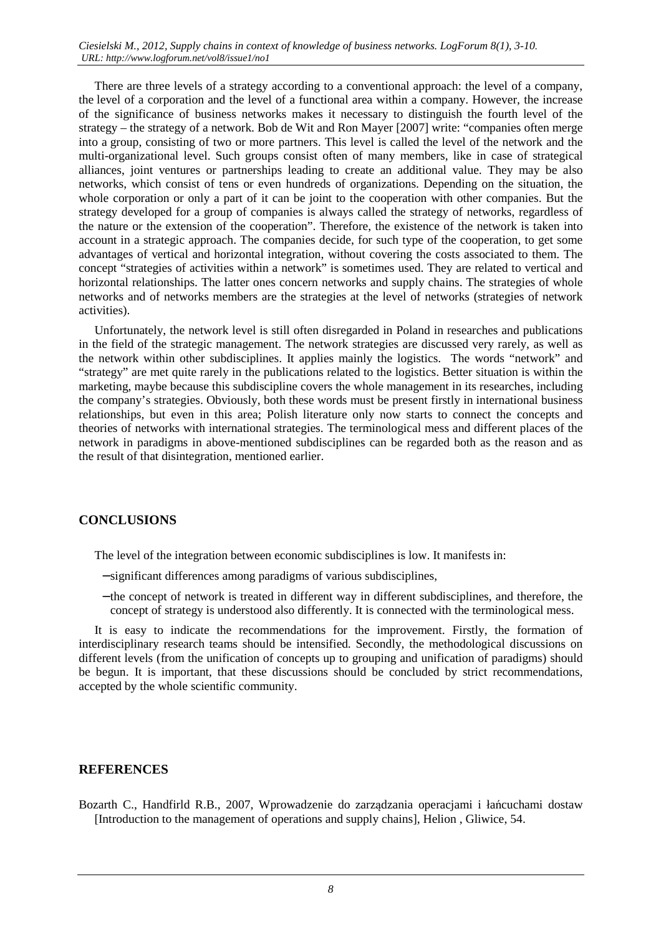There are three levels of a strategy according to a conventional approach: the level of a company, the level of a corporation and the level of a functional area within a company. However, the increase of the significance of business networks makes it necessary to distinguish the fourth level of the strategy – the strategy of a network. Bob de Wit and Ron Mayer [2007] write: "companies often merge into a group, consisting of two or more partners. This level is called the level of the network and the multi-organizational level. Such groups consist often of many members, like in case of strategical alliances, joint ventures or partnerships leading to create an additional value. They may be also networks, which consist of tens or even hundreds of organizations. Depending on the situation, the whole corporation or only a part of it can be joint to the cooperation with other companies. But the strategy developed for a group of companies is always called the strategy of networks, regardless of the nature or the extension of the cooperation". Therefore, the existence of the network is taken into account in a strategic approach. The companies decide, for such type of the cooperation, to get some advantages of vertical and horizontal integration, without covering the costs associated to them. The concept "strategies of activities within a network" is sometimes used. They are related to vertical and horizontal relationships. The latter ones concern networks and supply chains. The strategies of whole networks and of networks members are the strategies at the level of networks (strategies of network activities).

Unfortunately, the network level is still often disregarded in Poland in researches and publications in the field of the strategic management. The network strategies are discussed very rarely, as well as the network within other subdisciplines. It applies mainly the logistics. The words "network" and "strategy" are met quite rarely in the publications related to the logistics. Better situation is within the marketing, maybe because this subdiscipline covers the whole management in its researches, including the company's strategies. Obviously, both these words must be present firstly in international business relationships, but even in this area; Polish literature only now starts to connect the concepts and theories of networks with international strategies. The terminological mess and different places of the network in paradigms in above-mentioned subdisciplines can be regarded both as the reason and as the result of that disintegration, mentioned earlier.

#### **CONCLUSIONS**

The level of the integration between economic subdisciplines is low. It manifests in:

- − significant differences among paradigms of various subdisciplines,
- − the concept of network is treated in different way in different subdisciplines, and therefore, the concept of strategy is understood also differently. It is connected with the terminological mess.

It is easy to indicate the recommendations for the improvement. Firstly, the formation of interdisciplinary research teams should be intensified. Secondly, the methodological discussions on different levels (from the unification of concepts up to grouping and unification of paradigms) should be begun. It is important, that these discussions should be concluded by strict recommendations, accepted by the whole scientific community.

#### **REFERENCES**

Bozarth C., Handfirld R.B., 2007, Wprowadzenie do zarządzania operacjami i łańcuchami dostaw [Introduction to the management of operations and supply chains], Helion , Gliwice, 54.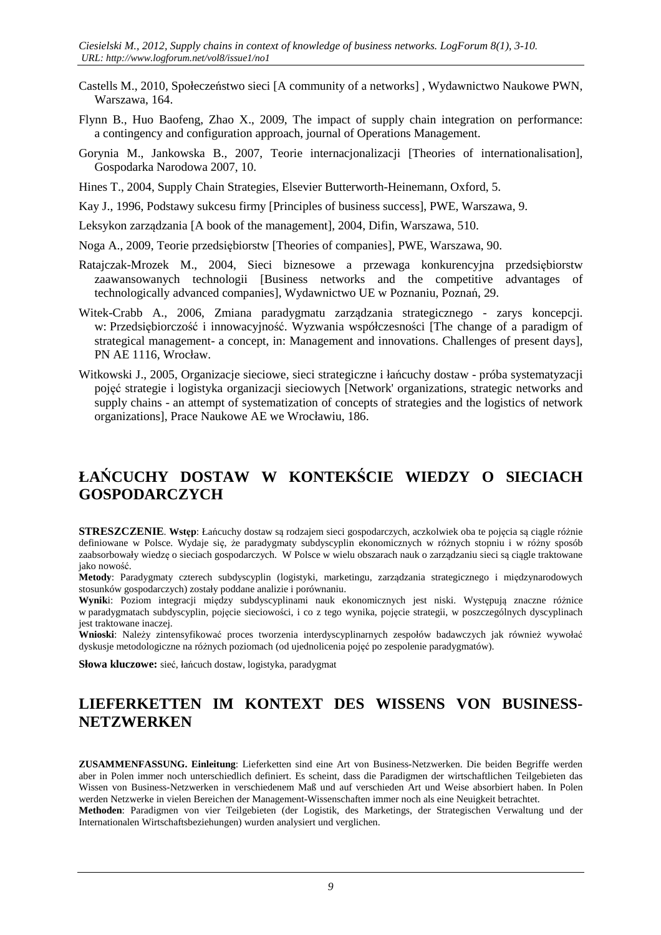- Castells M., 2010, Społeczeństwo sieci [A community of a networks] , Wydawnictwo Naukowe PWN, Warszawa, 164.
- Flynn B., Huo Baofeng, Zhao X., 2009, The impact of supply chain integration on performance: a contingency and configuration approach, journal of Operations Management.
- Gorynia M., Jankowska B., 2007, Teorie internacjonalizacji [Theories of internationalisation], Gospodarka Narodowa 2007, 10.
- Hines T., 2004, Supply Chain Strategies, Elsevier Butterworth-Heinemann, Oxford, 5.
- Kay J., 1996, Podstawy sukcesu firmy [Principles of business success], PWE, Warszawa, 9.
- Leksykon zarządzania [A book of the management], 2004, Difin, Warszawa, 510.
- Noga A., 2009, Teorie przedsiębiorstw [Theories of companies], PWE, Warszawa, 90.
- Ratajczak-Mrozek M., 2004, Sieci biznesowe a przewaga konkurencyjna przedsiębiorstw zaawansowanych technologii [Business networks and the competitive advantages of technologically advanced companies], Wydawnictwo UE w Poznaniu, Poznań, 29.
- Witek-Crabb A., 2006, Zmiana paradygmatu zarządzania strategicznego zarys koncepcji. w: Przedsiębiorczość i innowacyjność. Wyzwania współczesności [The change of a paradigm of strategical management- a concept, in: Management and innovations. Challenges of present days], PN AE 1116, Wrocław.
- Witkowski J., 2005, Organizacje sieciowe, sieci strategiczne i łańcuchy dostaw próba systematyzacji pojęć strategie i logistyka organizacji sieciowych [Network' organizations, strategic networks and supply chains - an attempt of systematization of concepts of strategies and the logistics of network organizations], Prace Naukowe AE we Wrocławiu, 186.

# **ŁAŃCUCHY DOSTAW W KONTEKŚCIE WIEDZY O SIECIACH GOSPODARCZYCH**

**STRESZCZENIE**. **Wstęp**: Łańcuchy dostaw są rodzajem sieci gospodarczych, aczkolwiek oba te pojęcia są ciągle różnie definiowane w Polsce. Wydaje się, że paradygmaty subdyscyplin ekonomicznych w różnych stopniu i w różny sposób zaabsorbowały wiedzę o sieciach gospodarczych. W Polsce w wielu obszarach nauk o zarządzaniu sieci są ciągle traktowane jako nowość.

**Metody**: Paradygmaty czterech subdyscyplin (logistyki, marketingu, zarządzania strategicznego i międzynarodowych stosunków gospodarczych) zostały poddane analizie i porównaniu.

**Wynik**i: Poziom integracji między subdyscyplinami nauk ekonomicznych jest niski. Występują znaczne różnice w paradygmatach subdyscyplin, pojęcie sieciowości, i co z tego wynika, pojęcie strategii, w poszczególnych dyscyplinach jest traktowane inaczej.

**Wnioski**: Należy zintensyfikować proces tworzenia interdyscyplinarnych zespołów badawczych jak również wywołać dyskusje metodologiczne na różnych poziomach (od ujednolicenia pojęć po zespolenie paradygmatów).

**Słowa kluczowe:** sieć, łańcuch dostaw, logistyka, paradygmat

### **LIEFERKETTEN IM KONTEXT DES WISSENS VON BUSINESS-NETZWERKEN**

**ZUSAMMENFASSUNG. Einleitung**: Lieferketten sind eine Art von Business-Netzwerken. Die beiden Begriffe werden aber in Polen immer noch unterschiedlich definiert. Es scheint, dass die Paradigmen der wirtschaftlichen Teilgebieten das Wissen von Business-Netzwerken in verschiedenem Maß und auf verschieden Art und Weise absorbiert haben. In Polen werden Netzwerke in vielen Bereichen der Management-Wissenschaften immer noch als eine Neuigkeit betrachtet. **Methoden**: Paradigmen von vier Teilgebieten (der Logistik, des Marketings, der Strategischen Verwaltung und der

Internationalen Wirtschaftsbeziehungen) wurden analysiert und verglichen.